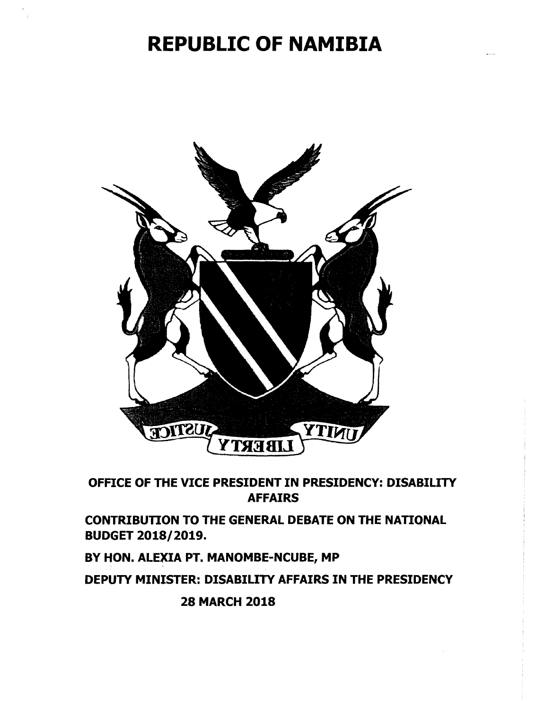## **REPUBLIC OF NAMIBIA**



OFFICE OF THE VICE PRESIDENT IN PRESIDENCY: DISABILITY AFFAIRS

CONTRIBUTION TO THE GENERAL DEBATE ON THE NATIQNAL BUDGET 2018/2019.

BY HON. ALEXIA PT. MANOMBE-NCUBE, MP

DEPUTY MINISTER: DISABILITY AFFAIRS IN THE PRESIDENCY

28 MARCH 2018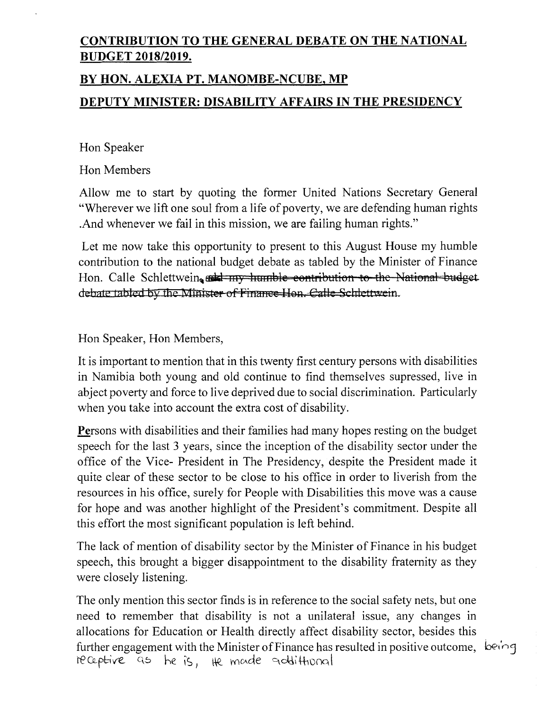## **CONTRIBUTION TO THE GENERAL DEBATE ON THE NATIONAL BUDGET 2018/2019.**

## **BY HON. ALEXIA PT. MANOMBE-NCUBE, MP**

## **DEPUTY MINISTER: DISABILITY AFFAIRS IN THE PRESIDENCY**

Hon Speaker

Hon Members

Allow me to start by quoting the former United Nations Secretary General "Wherever we lift one soul from a life of poverty, we are defending human rights .And whenever we fail in this mission, we are failing human rights."

Let me now take this opportunity to present to this August House my humble contribution to the national budget debate as tabled by the Minister of Finance Hon. Calle Schlettwein,  $\frac{1}{2}$  my humble contribution to the National budget. debate tabled by the Minister of Finance Hon. Calle Schlettwein.

Hon Speaker, Hon Members,

It is important to mention that in this twenty first century persons with disabilities in Namibia both young and old continue to find themselves supressed, live in abject poverty and force to live deprived due to social discrimination. Particularly when you take into account the extra cost of disability.

Persons with disabilities and their families had many hopes resting on the budget speech for the last 3 years, since the inception of the disability sector under the office of the Vice- President in The Presidency, despite the President made it quite clear of these sector to be close to his office in order to liverish from the resources in his office, surely for People with Disabilities this move was a cause for hope and was another highlight of the President's commitment. Despite all this effort the most significant population is left behind.

The lack of mention of disability sector by the Minister of Finance in his budget speech, this brought a bigger disappointment to the disability fraternity as they were closely listening.

The only mention this sector finds is in reference to the social safety nets, but one need to remember that disability is not a unilateral issue, any changes in allocations for Education or Health directly affect disability sector, besides this further engagement with the Minister of Finance has resulted in positive outcome,  $\vec{P}$  being leCeptive as he is, the made addittional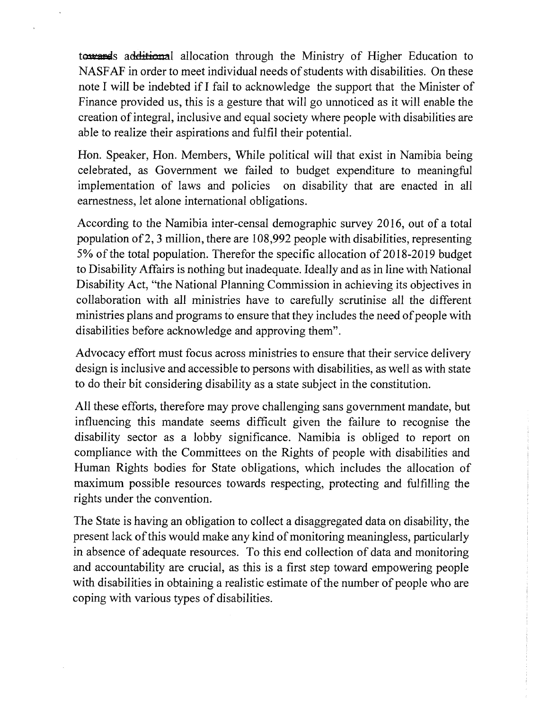towards additional allocation through the Ministry of Higher Education to NASFAF in order to meet individual needs of students with disabilities. On these note I will be indebted if I fail to acknowledge the support that the Minister of Finance provided us, this is a gesture that will go unnoticed as it will enable the creation of integral, inclusive and equal society where people with disabilities are able to realize their aspirations and fulfil their potential.

Hon. Speaker, Hon. Members, While political will that exist in Namibia being celebrated, as Government we failed to budget expenditure to meaningful implementation of laws and policies on disability that are enacted in all earnestness, let alone international obligations.

According to the Namibia inter-censal demographic survey 2016, out of a total population of2, 3 million, there are 108,992 people with disabilities, representing 5% of the total population. Therefor the specific allocation of 2018-2019 budget to Disability Affairs is nothing but inadequate. Ideally and as in line with National Disability Act, "the National Planning Commission in achieving its objectives in collaboration with all ministries have to carefully scrutinise all the different ministries plans and programs to ensure that they includes the need of people with disabilities before acknowledge and approving them".

Advocacy effort must focus across ministries to ensure that their service delivery design is inclusive and accessible to persons with disabilities, as well as with state to do their bit considering disability as a state subject in the constitution.

All these efforts, therefore may prove challenging sans government mandate, but influencing this mandate seems difficult given the failure to recognise the disability sector as a lobby significance. Namibia is obliged to report on compliance with the Committees on the Rights of people with disabilities and Human Rights bodies for State obligations, which includes the allocation of maximum possible resources towards respecting, protecting and fulfilling the rights under the convention.

The State is having an obligation to collect a disaggregated data on disability, the present lack of this would make any kind of monitoring meaningless, particularly in absence of adequate resources. To this end collection of data and monitoring and accountability are crucial, as this is a first step toward empowering people with disabilities in obtaining a realistic estimate of the number of people who are coping with various types of disabilities.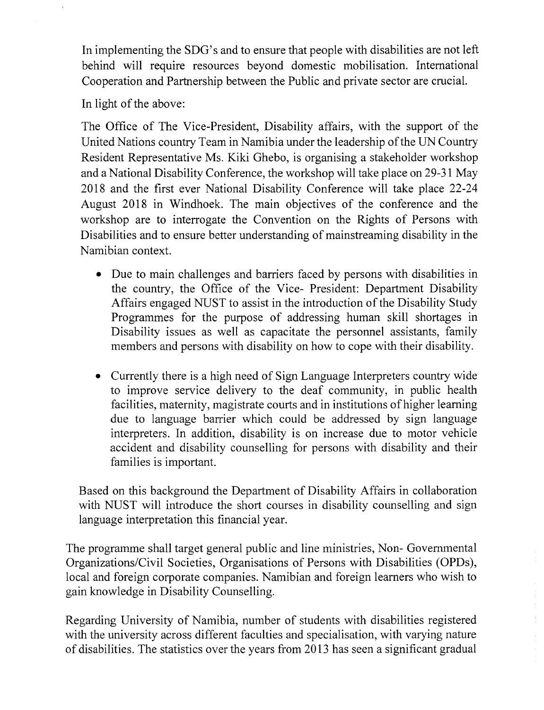In implementing the SDG's and to ensure that people with disabilities are not left behind will require resources beyond domestic mobilisation. International Cooperation and Partnership between the Public and private sector are crucial.

In light of the above:

The Office of The Vice-President, Disability affairs, with the support of the United Nations country Team in Namibia under the leadership of the UN Country Resident Representative Ms. Kiki Ghebo, is organising a stakeholder workshop and a National Disability Conference, the workshop will take place on 29-31 May 2018 and the first ever National Disability Conference will take place 22-24 August 2018 in Windhoek. The main objectives of the conference and the workshop are to interrogate the Convention on the Rights of Persons with Disabilities and to ensure better understanding of mainstreaming disability in the Namibian context.

- Due to main challenges and barriers faced by persons with disabilities in the country, the Office of the Vice- President: Department Disability Affairs engaged NUST to assist in the introduction of the Disability Study Programmes for the purpose of addressing human skill shortages in Disability issues as well as capacitate the personnel assistants, family members and persons with disability on how to cope with their disability.
- Currently there is a high need of Sign Language Interpreters country wide to improve service delivery to the deaf community, in public health facilities, maternity, magistrate courts and in institutions of higher learning due to language barrier which could be addressed by sign language interpreters. In addition, disability is on increase due to motor vehicle accident and disability counselling for persons with disability and their families is important.

Based on this background the Department of Disability Affairs in collaboration with NUST will introduce the short courses in disability counselling and sign language interpretation this financial year.

The programme shall target general public and line ministries, Non- Governmental Organizations/Civil Societies, Organisations of Persons with Disabilities (OPDs), local and foreign corporate companies. Namibian and foreign learners who wish to gain knowledge in Disability Counselling.

Regarding University of Namibia, number of students with disabilities registered with the university across different faculties and specialisation, with varying nature of disabilities. The statistics over the years from 2013 has seen a significant gradual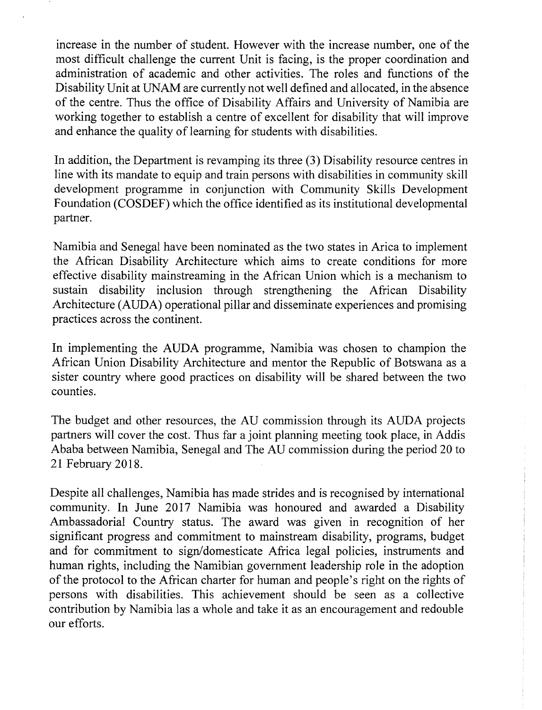increase in the number of student. However with the increase number, one of the most difficult challenge the current Unit is facing, is the proper coordination and administration of academic and other activities. The roles and functions of the Disability Unit at UNAM are currently not well defined and allocated, in the absence of the centre. Thus the office of Disability Affairs and University of Namibia are working together to establish a centre of excellent for disability that will improve and enhance the quality of learning for students with disabilities.

In addition, the Department is revamping its three (3) Disability resource centres in line with its mandate to equip and train persons with disabilities in community skill development programme in conjunction with Community Skills Development Foundation (COSDEF) which the office identified as its institutional developmental partner.

Namibia and Senegal have been nominated as the two states in Arica to implement the African Disability Architecture which aims to create conditions for more effective disability mainstreaming in the African Union which is a mechanism to sustain disability inclusion through strengthening the African Disability Architecture (AUDA) operational pillar and disseminate experiences and promising practices across the continent.

In implementing the AUDA programme, Namibia was chosen to champion the African Union Disability Architecture and mentor the Republic of Botswana as a sister country where good practices on disability will be shared between the two counties.

The budget and other resources, the AU commission through its AUDA projects partners will cover the cost. Thus far a joint planning meeting took place, in Addis Ababa between Namibia, Senegal and The AU commission during the period 20 to 21 February 2018.

Despite all challenges, Namibia has made strides and is recognised by international community. In June 2017 Namibia was honoured and awarded a Disability Ambassadorial Country status. The award was given in recognition of her significant progress and commitment to mainstream disability, programs, budget and for commitment to sign/domesticate Africa legal policies, instruments and human rights, including the Namibian government leadership role in the adoption of the protocol to the African charter for human and people's right on the rights of persons with disabilities. This achievement should be seen as a collective contribution by Namibia las a whole and take it as an encouragement and redouble our efforts.